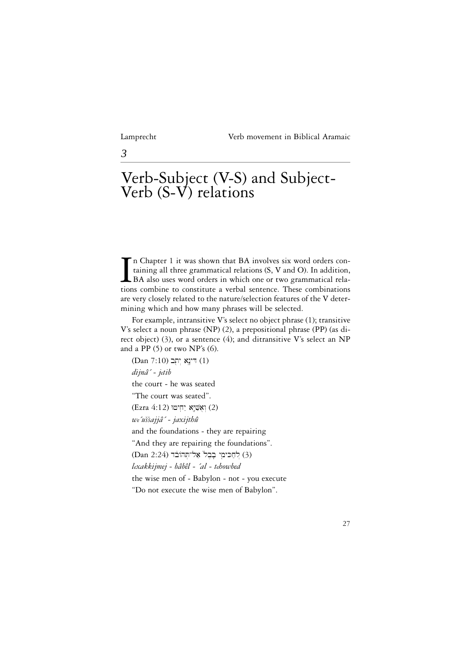*3*

# Verb-Subject (V-S) and Subject-Verb (S-V) relations

In Chapter 1 it was shown that BA involves six word orders containing all three grammatical relations (S, V and O). In addition, BA also uses word orders in which one or two grammatical relations combine to constitute a ve n Chapter 1 it was shown that BA involves six word orders containing all three grammatical relations (S, V and O). In addition, BA also uses word orders in which one or two grammatical relaare very closely related to the nature/selection features of the V determining which and how many phrases will be selected.

For example, intransitive V's select no object phrase (1); transitive V's select a noun phrase (NP) (2), a prepositional phrase (PP) (as direct object) (3), or a sentence (4); and ditransitive V's select an NP and a PP (5) or two NP's (6).

(Dan 7:10) דִּינָא יִתְב *dijnâ´ - jetib* the court - he was seated "The court was seated". (Ezra 4:12) יִאֲשָׁיָא (2) *we´ussajjâ´ - jaxijthû* ^^and the foundations - they are repairing "And they are repairing the foundations". (3) לַחֲכִּימִי בָבֶל<sup>י</sup> אֲל־תְּהוֹבֹד (4) *lexakkijmej - bâbêl - ´al - tehowbed* the wise men of - Babylon - not - you execute "Do not execute the wise men of Babylon".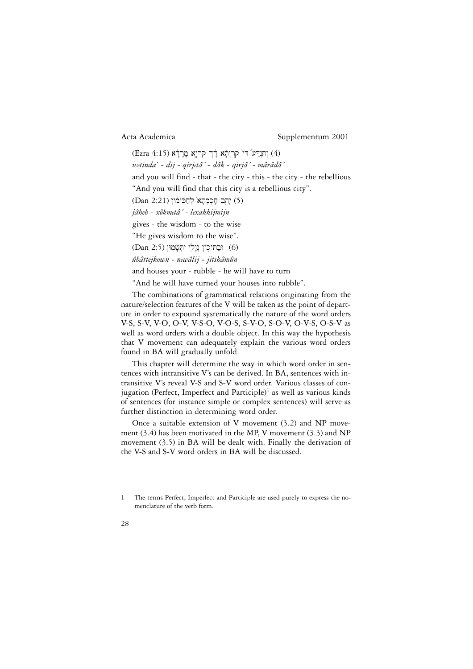(Ezra 4:15) וְתוּדֵע דִּי קְרִיתָא דָוּךְ קְרִיאָ (4) *wetinda` - dij - qirjetâ´ - dâk - qirjâ´ - mârâdâ´* and you will find - that - the city - this - the city - the rebellious "And you will find that this city is a rebellious city". (5) יָהְבַ חָכְמְתָא<sup>'</sup> לְחַכּימוֹן (12:21) (5) *jâheb - xôkmetâ´ - lexakkijmijn* gives - the wisdom - to the wise "He gives wisdom to the wise". (Dan 2:5) וּבָתּיכְוֹן נִוָלִי יִתְּשָׂמְוּן (6) *ûbâttejkown - newâlij - jitshâmûn* and houses your - rubble - he will have to turn "And he will have turned your houses into rubble".

The combinations of grammatical relations originating from the nature/selection features of the V will be taken as the point of departure in order to expound systematically the nature of the word orders V-S, S-V, V-O, O-V, V-S-O, V-O-S, S-V-O, S-O-V, O-V-S, O-S-V as well as word orders with a double object. In this way the hypothesis that V movement can adequately explain the various word orders found in BA will gradually unfold.

This chapter will determine the way in which word order in sentences with intransitive V's can be derived. In BA, sentences with intransitive V's reveal V-S and S-V word order. Various classes of conjugation (Perfect, Imperfect and Participle)<sup>1</sup> as well as various kinds of sentences (for instance simple or complex sentences) will serve as further distinction in determining word order.

Once a suitable extension of V movement  $(3.2)$  and NP movement  $(3.4)$  has been motivated in the MP, V movement  $(3.3)$  and NP movement (3.5) in BA will be dealt with. Finally the derivation of the V-S and S-V word orders in BA will be discussed.

<sup>1</sup> The terms Perfect, Imperfect and Participle are used purely to express the nomenclature of the verb form.

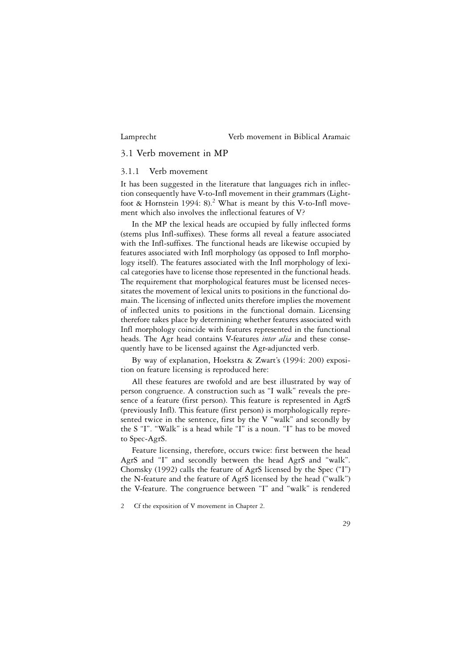# 3.1 Verb movement in MP

## 3.1.1 Verb movement

It has been suggested in the literature that languages rich in inflection consequently have V-to-Infl movement in their grammars (Lightfoot & Hornstein 1994: 8).2 What is meant by this V-to-Infl movement which also involves the inflectional features of V?

In the MP the lexical heads are occupied by fully inflected forms (stems plus Infl-suffixes). These forms all reveal a feature associated with the Infl-suffixes. The functional heads are likewise occupied by features associated with Infl morphology (as opposed to Infl morphology itself). The features associated with the Infl morphology of lexical categories have to license those represented in the functional heads. The requirement that morphological features must be licensed necessitates the movement of lexical units to positions in the functional domain. The licensing of inflected units therefore implies the movement of inflected units to positions in the functional domain. Licensing therefore takes place by determining whether features associated with Infl morphology coincide with features represented in the functional heads. The Agr head contains V-features *inter alia* and these consequently have to be licensed against the Agr-adjuncted verb.

By way of explanation, Hoekstra & Zwart's (1994: 200) exposition on feature licensing is reproduced here:

All these features are twofold and are best illustrated by way of person congruence. A construction such as "I walk" reveals the presence of a feature (first person). This feature is represented in AgrS (previously Infl). This feature (first person) is morphologically represented twice in the sentence, first by the V "walk" and secondly by the S "I". "Walk" is a head while "I" is a noun. "I" has to be moved to Spec-AgrS.

Feature licensing, therefore, occurs twice: first between the head AgrS and "I" and secondly between the head AgrS and "walk". Chomsky (1992) calls the feature of AgrS licensed by the Spec ("I") the N-feature and the feature of AgrS licensed by the head ("walk") the V-feature. The congruence between "I" and "walk" is rendered

<sup>2</sup> Cf the exposition of V movement in Chapter 2.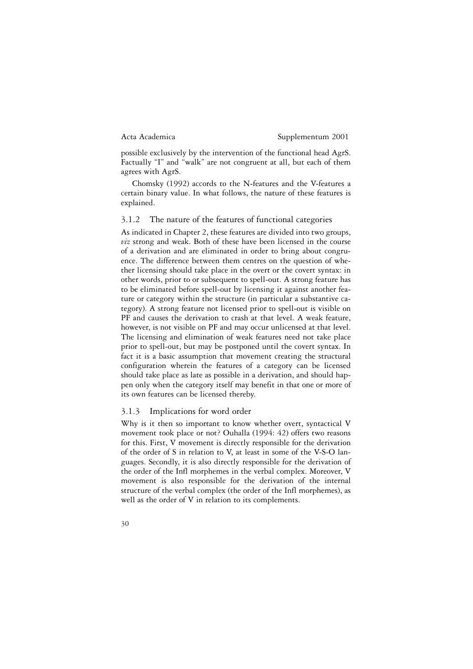possible exclusively by the intervention of the functional head AgrS. Factually "I" and "walk" are not congruent at all, but each of them agrees with AgrS.

Chomsky (1992) accords to the N-features and the V-features a certain binary value. In what follows, the nature of these features is explained.

#### 3.1.2 The nature of the features of functional categories

As indicated in Chapter 2, these features are divided into two groups, *viz* strong and weak. Both of these have been licensed in the course of a derivation and are eliminated in order to bring about congruence. The difference between them centres on the question of whether licensing should take place in the overt or the covert syntax: in other words, prior to or subsequent to spell-out. A strong feature has to be eliminated before spell-out by licensing it against another feature or category within the structure (in particular a substantive category). A strong feature not licensed prior to spell-out is visible on PF and causes the derivation to crash at that level. A weak feature, however, is not visible on PF and may occur unlicensed at that level. The licensing and elimination of weak features need not take place prior to spell-out, but may be postponed until the covert syntax. In fact it is a basic assumption that movement creating the structural configuration wherein the features of a category can be licensed should take place as late as possible in a derivation, and should happen only when the category itself may benefit in that one or more of its own features can be licensed thereby.

#### 3.1.3 Implications for word order

Why is it then so important to know whether overt, syntactical V movement took place or not? Ouhalla (1994: 42) offers two reasons for this. First, V movement is directly responsible for the derivation of the order of S in relation to V, at least in some of the V-S-O languages. Secondly, it is also directly responsible for the derivation of the order of the Infl morphemes in the verbal complex. Moreover, V movement is also responsible for the derivation of the internal structure of the verbal complex (the order of the Infl morphemes), as well as the order of V in relation to its complements.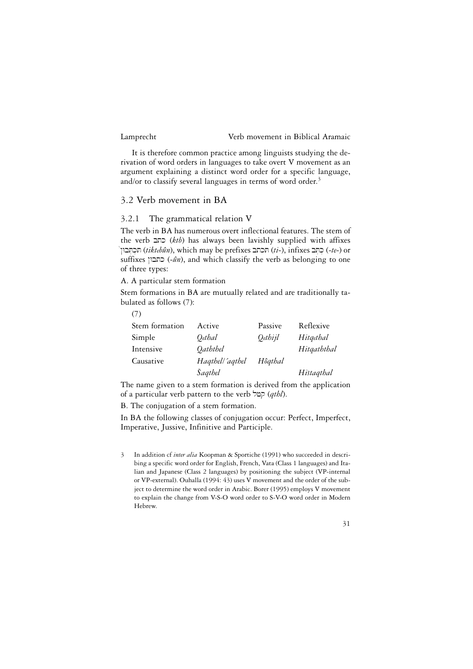$\overline{a}$ 

# Lamprecht Verb movement in Biblical Aramaic

It is therefore common practice among linguists studying the derivation of word orders in languages to take overt V movement as an argument explaining a distinct word order for a specific language, and/or to classify several languages in terms of word order.<sup>3</sup>

# 3.2 Verb movement in BA

# 3.2.1 The grammatical relation V

The verb in BA has numerous overt inflectional features. The stem of the verb btk (*ktb*) has always been lavishly supplied with affixes !˜WbT]k]T (*tiktebûn*), which may be prefixes btkT (*ti*-), infixes bT]k] (-*te*-) or suffixes (- $\hat{u}$ ), and which classify the verb as belonging to one of three types:

A. A particular stem formation

Stem formations in BA are mutually related and are traditionally ta-^ bulated as follows (7):

| (7)            |                 |         |             |
|----------------|-----------------|---------|-------------|
| Stem formation | Active          | Passive | Reflexive   |
| Simple         | Qethal          | Oethijl | Hitgethal   |
| Intensive      | Oaththel        |         | Hitgaththal |
| Causative      | Haqthell'aqthel | Hôqthal |             |
|                | Šaqthel         |         | Histagthal  |

The name given to a stem formation is derived from the application of a particular verb pattern to the verb lfq (*qthl*).

B. The conjugation of a stem formation.

In BA the following classes of conjugation occur: Perfect, Imperfect, Imperative, Jussive, Infinitive and Participle.

3 In addition cf *inter alia* Koopman & Sportiche (1991) who succeeded in describing a specific word order for English, French, Vata (Class 1 languages) and Italian and Japanese (Class 2 languages) by positioning the subject (VP-internal or VP-external). Ouhalla (1994: 43) uses V movement and the order of the subject to determine the word order in Arabic. Borer (1995) employs V movement to explain the change from V-S-O word order to S-V-O word order in Modern Hebrew.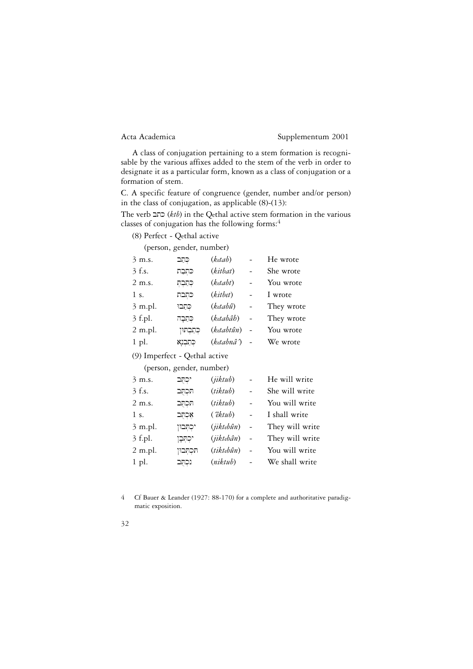A class of conjugation pertaining to a stem formation is recognisable by the various affixes added to the stem of the verb in order to designate it as a particular form, known as a class of conjugation or a formation of stem.

C. A specific feature of congruence (gender, number and/or person) in the class of conjugation, as applicable (8)-(13):

The verb btk (*ktb*) in the Qethal active stem formation in the various classes of conjugation has the following forms:4

(8) Perfect - Qethal active

|  | (person, gender, number) |
|--|--------------------------|
|  |                          |

|                               | $(\text{pctsoni}, \text{gctuct}, \text{numet})$ |               |                |                 |
|-------------------------------|-------------------------------------------------|---------------|----------------|-----------------|
| $3 \text{ m.s.}$              | כְּתָב                                          | (ketab)       |                | He wrote        |
| 3 f.s.                        | כתִבָת                                          | (kitbat)      |                | She wrote       |
| 2 m.s.                        | כתבת                                            | (ketabt)      |                | You wrote       |
| 1 s.                          | כתִבת                                           | (kitbet)      |                | I wrote         |
| 3 m.pl.                       | כִּתֲבוּ                                        | (ketabû)      |                | They wrote      |
| 3 f.pl.                       | כִּתֲבָה                                        | (ketabâh)     |                | They wrote      |
| 2 m.pl.                       | קתַבְתּוּן                                      | (ketabtûn)    | $\overline{a}$ | You wrote       |
| 1 pl.                         | כְּתַבְנָא                                      | (ketabnâ^)    |                | We wrote        |
| (9) Imperfect - Qethal active |                                                 |               |                |                 |
|                               | (person, gender, number)                        |               |                |                 |
| $3 \text{ m.s.}$              | יכְתָּב                                         | (jiktub)      |                | He will write   |
| 3 f.s.                        | תכתב                                            | (tiktub)      |                | She will write  |
| 2 m.s.                        | תכתב                                            | (tiktub)      | $\overline{a}$ | You will write  |
| 1 s.                          | אָכְהָב                                         | $(\hat{e}k\n$ | $\overline{a}$ | I shall write   |
| 3 m.pl.                       | יכִתְּבוּן                                      | (jiktebûn)    | $\overline{a}$ | They will write |
| $3$ f.pl.                     | יכתּבן                                          | (jiktebân)    | $\overline{a}$ | They will write |
| 2 m.pl.                       | תכתבון                                          | (tiktebûn)    |                | You will write  |
|                               |                                                 |               |                |                 |

4 Cf Bauer & Leander (1927: 88-170) for a complete and authoritative paradigmatic exposition.

1 pl. bTuk]n (*niktub*) - We shall write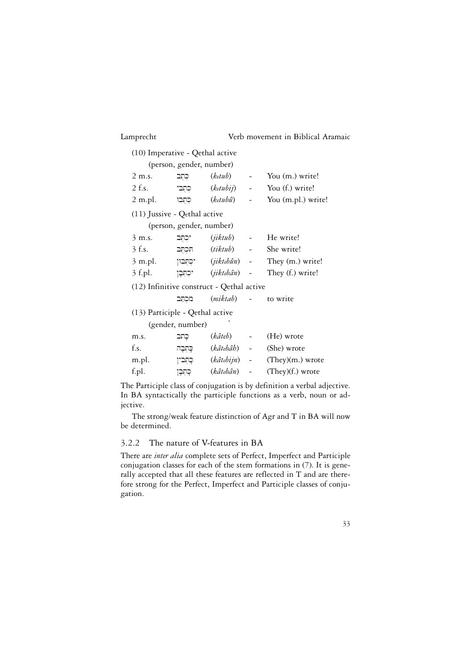| Lamprecht                                 |                          |                              | Verb movement in Biblical Aramaic         |
|-------------------------------------------|--------------------------|------------------------------|-------------------------------------------|
| (10) Imperative - Qethal active           |                          |                              |                                           |
|                                           | (person, gender, number) |                              |                                           |
| 2 m.s.                                    | כִּתֻּב                  |                              | $(ketub)$ - You (m.) write!               |
| 2 f.s.                                    |                          |                              | רְחֻבִי (ketubij) - You (f.) write!       |
| $2 \text{ m.pl.}$                         |                          |                              | ָכְתְּבוּ (ketubû) - You (m.pl.) write!   |
| (11) Jussive - Qethal active              |                          |                              |                                           |
|                                           | (person, gender, number) |                              |                                           |
| $3 \text{ m.s.}$                          | יכתב                     | $(jiktub)$ -                 | He write!                                 |
| $3$ f.s.                                  |                          | תּכְתֻב <i>(tiktub</i> )     | She write!                                |
| 3 m.pl.                                   |                          |                              | יִכְתְּבוּן (jiktebûn) - They (m.) write! |
| $3$ f.pl.                                 |                          |                              | יִכְתְּבָן (jiktebân) - They (f.) write!  |
| (12) Infinitive construct - Qethal active |                          |                              |                                           |
|                                           | מכתב                     | ( <i>miktab</i> ) - to write |                                           |
| (13) Participle - Qethal active           |                          |                              |                                           |
|                                           | (gender, number)         |                              |                                           |
| m.s.                                      | כָתב                     | (kâteb) –                    | (He) wrote                                |
| f.s.                                      | כְּתְבָה                 | (kâtebâh) -                  | (She) wrote                               |
| m.pl.                                     | כְּתְבין                 |                              | $(k\hat{a}tebijn)$ - (They)(m.) wrote     |
| f.pl.                                     | ַפְּתִבָן                | (kâtebân) -                  | $(They)(f.)$ wrote                        |
|                                           |                          |                              |                                           |

The Participle class of conjugation is by definition a verbal adjective. In BA syntactically the participle functions as a verb, noun or adjective.

The strong/weak feature distinction of Agr and T in BA will now be determined.

# 3.2.2 The nature of V-features in BA

There are *inter alia* complete sets of Perfect, Imperfect and Participle conjugation classes for each of the stem formations in (7). It is generally accepted that all these features are reflected in T and are therefore strong for the Perfect, Imperfect and Participle classes of conjugation.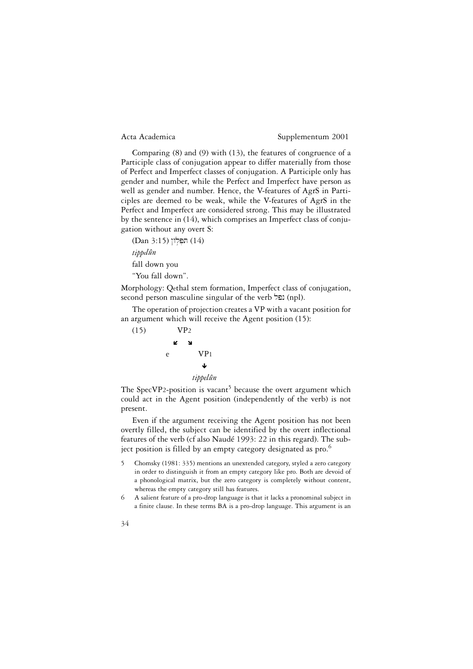Comparing (8) and (9) with (13), the features of congruence of a Participle class of conjugation appear to differ materially from those of Perfect and Imperfect classes of conjugation. A Participle only has gender and number, while the Perfect and Imperfect have person as well as gender and number. Hence, the V-features of AgrS in Participles are deemed to be weak, while the V-features of AgrS in the Perfect and Imperfect are considered strong. This may be illustrated by the sentence in (14), which comprises an Imperfect class of conjugation without any overt S:

(Dan 3:15) הפלון (Dan 3:15) *tippelûn* fall down you "You fall down".

Morphology: Qethal stem formation, Imperfect class of conjugation, second person masculine singular of the verb (npl).

The operation of projection creates a VP with a vacant position for an argument which will receive the Agent position (15):



The SpecVP2-position is vacant<sup>5</sup> because the overt argument which could act in the Agent position (independently of the verb) is not present.

Even if the argument receiving the Agent position has not been overtly filled, the subject can be identified by the overt inflectional features of the verb (cf also Naudé 1993: 22 in this regard). The subject position is filled by an empty category designated as pro.<sup>6</sup>

- 5 Chomsky (1981: 335) mentions an unextended category, styled a zero category in order to distinguish it from an empty category like pro. Both are devoid of a phonological matrix, but the zero category is completely without content, whereas the empty category still has features.
- 6 A salient feature of a pro-drop language is that it lacks a pronominal subject in a finite clause. In these terms BA is a pro-drop language. This argument is an

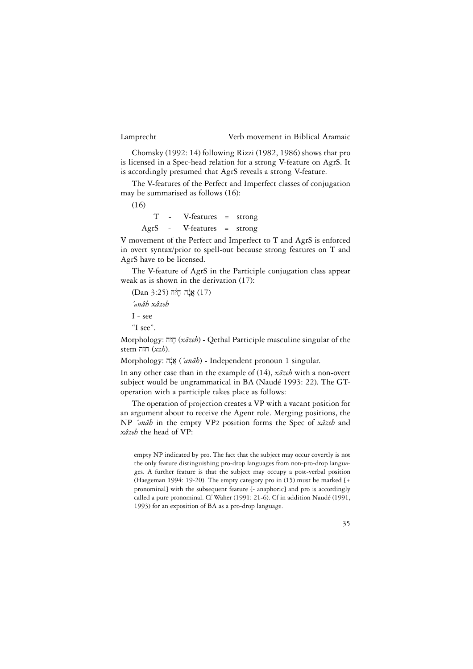Chomsky (1992: 14) following Rizzi (1982, 1986) shows that pro is licensed in a Spec-head relation for a strong V-feature on AgrS. It is accordingly presumed that AgrS reveals a strong V-feature.

The V-features of the Perfect and Imperfect classes of conjugation may be summarised as follows (16):

(16)

T - V-features = strong AgrS - V-features = strong

V movement of the Perfect and Imperfect to T and AgrS is enforced in overt syntax/prior to spell-out because strong features on T and AgrS have to be licensed.

The V-feature of AgrS in the Participle conjugation class appear weak as is shown in the derivation (17):

 $(Dan 3:25)$  אנה חוֹה (17) *´anâh xâzeh* I - see

"I see".

Morphology: hzj;(*xâzeh*) - Qethal Participle masculine singular of the stem חזה  $(xzb)$ .

Morphology: hn:!a}(*´anâh*) - Independent pronoun 1 singular.

In any other case than in the example of (14), *xâzeh* with a non-overt subject would be ungrammatical in BA (Naudé 1993: 22). The GToperation with a participle takes place as follows:

The operation of projection creates a VP with a vacant position for an argument about to receive the Agent role. Merging positions, the NP *´anâh* in the empty VP2 position forms the Spec of *xâzeh* and *xâzeh* the head of VP:

empty NP indicated by pro. The fact that the subject may occur covertly is not the only feature distinguishing pro-drop languages from non-pro-drop languages. A further feature is that the subject may occupy a post-verbal position (Haegeman 1994: 19-20). The empty category pro in (15) must be marked [+ pronominal] with the subsequent feature [- anaphoric] and pro is accordingly called a pure pronominal. Cf Waher (1991: 21-6). Cf in addition Naudé (1991, 1993) for an exposition of BA as a pro-drop language.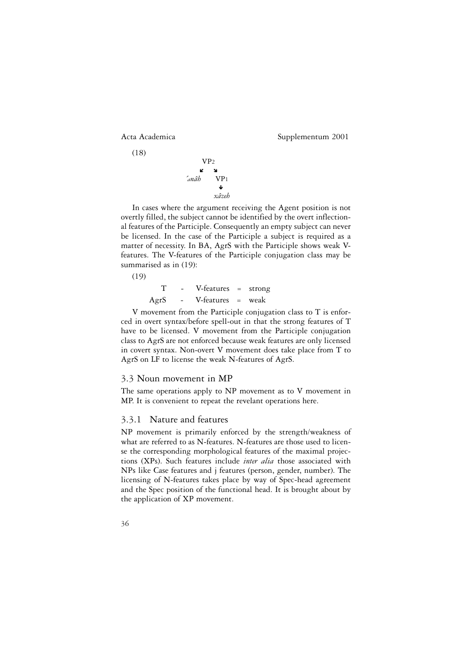(18)

Acta Academica Supplementum 2001



In cases where the argument receiving the Agent position is not overtly filled, the subject cannot be identified by the overt inflectional features of the Participle. Consequently an empty subject can never be licensed. In the case of the Participle a subject is required as a matter of necessity. In BA, AgrS with the Participle shows weak Vfeatures. The V-features of the Participle conjugation class may be summarised as in (19):

(19) T - V-features = strong AgrS - V-features = weak

V movement from the Participle conjugation class to T is enforced in overt syntax/before spell-out in that the strong features of T have to be licensed. V movement from the Participle conjugation class to AgrS are not enforced because weak features are only licensed in covert syntax. Non-overt V movement does take place from T to AgrS on LF to license the weak N-features of AgrS.

#### 3.3 Noun movement in MP

The same operations apply to NP movement as to V movement in MP. It is convenient to repeat the revelant operations here.

#### 3.3.1 Nature and features

NP movement is primarily enforced by the strength/weakness of what are referred to as N-features. N-features are those used to license the corresponding morphological features of the maximal projections (XPs). Such features include *inter alia* those associated with NPs like Case features and j features (person, gender, number). The licensing of N-features takes place by way of Spec-head agreement and the Spec position of the functional head. It is brought about by the application of XP movement.

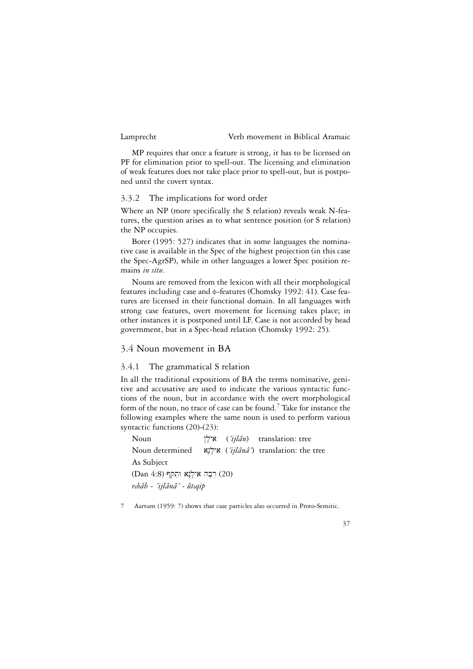MP requires that once a feature is strong, it has to be licensed on PF for elimination prior to spell-out. The licensing and elimination of weak features does not take place prior to spell-out, but is postponed until the covert syntax.

# 3.3.2 The implications for word order

Where an NP (more specifically the S relation) reveals weak N-features, the question arises as to what sentence position (or S relation) the NP occupies.

Borer (1995: 527) indicates that in some languages the nominative case is available in the Spec of the highest projection (in this case the Spec-AgrSP), while in other languages a lower Spec position remains *in situ*.

Nouns are removed from the lexicon with all their morphological features including case and  $\phi$ -features (Chomsky 1992: 41). Case features are licensed in their functional domain. In all languages with strong case features, overt movement for licensing takes place; in other instances it is postponed until LF. Case is not accorded by head government, but in a Spec-head relation (Chomsky 1992: 25).

# 3.4 Noun movement in BA

# 3.4.1 The grammatical S relation

In all the traditional expositions of BA the terms nominative, genitive and accusative are used to indicate the various syntactic functions of the noun, but in accordance with the overt morphological form of the noun, no trace of case can be found.<sup>7</sup> Take for instance the following examples where the same noun is used to perform various syntactic functions (20)-(23):

Noun ˜l;ya (*´ijlân*) translation: tree Noun determined an…l;ya (*´ijlânâ´*) translation: the tree As Subject (Dan  $4:8$ ) רְבָה אִילַנָא וּחָקף (20) *rebâh - ´ijlânâ´ - ûteqip*

7 Aartum (1959: 7) shows that case particles also occurred in Proto-Semitic.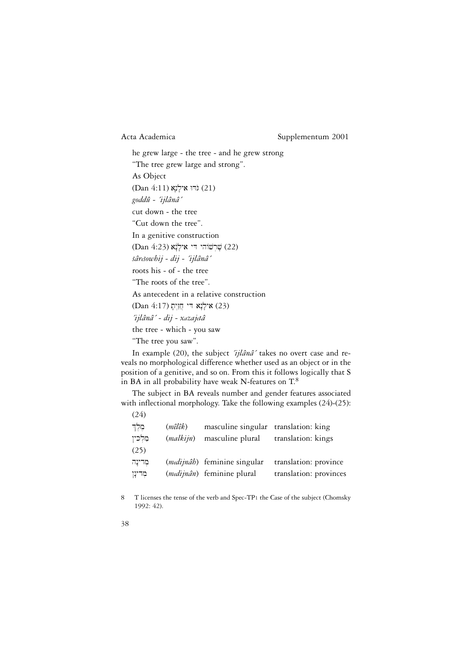he grew large - the tree - and he grew strong "The tree grew large and strong". As Object (Dan 4:11) גּוֹדוּ אילָנָא (21) *goddû - ´ijlânâ´* cut down - the tree "Cut down the tree". In a genitive construction (22) שֶׁרְשׁוֹהִי דִּי אִילְנָאׁ (23) (22) *sâresowhij - dij - ´ijlânâ´* ^ ^roots his - of - the tree "The roots of the tree". As antecedent in a relative construction (Dan 4:17) אִילְנָא די חֲזַיִתָ *´ijlânâ´ - dij - xazajetâ* the tree - which - you saw "The tree you saw".

In example (20), the subject *´ijlânâ´* takes no overt case and reveals no morphological difference whether used as an object or in the position of a genitive, and so on. From this it follows logically that S in BA in all probability have weak N-features on T.8

The subject in BA reveals number and gender features associated with inflectional morphology. Take the following examples (24)-(25):  $(24)$ 

| מֵלֵך<br>מלכיו | (mêlêk)<br>(malkijn) | masculine singular translation: king<br>masculine plural | translation: kings     |
|----------------|----------------------|----------------------------------------------------------|------------------------|
| (25)           |                      |                                                          |                        |
| מִדינָה        |                      | (medijnâh) feminine singular                             | translation: province  |
| מִדינָן        |                      | (medijnân) feminine plural                               | translation: provinces |

- 8 T licenses the tense of the verb and Spec-TP1 the Case of the subject (Chomsky 1992: 42).
- 38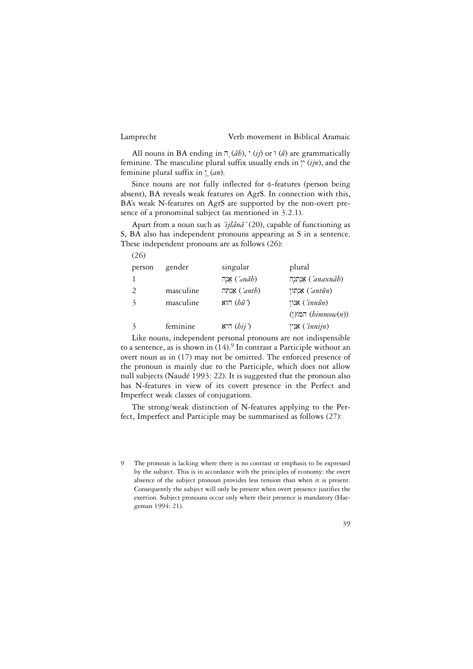(26)

# Lamprecht Verb movement in Biblical Aramaic

All nouns in BA ending in  $\bar{\rho}$  (*âb*),  $\dot{\rho}$  (*ij*) or  $\bar{\rho}$  (*â*) are grammatically feminine. The masculine plural suffix usually ends in  $\gamma$  ( $i/n$ ), and the feminine plural suffix in  $\int (a_n)$ .

Since nouns are not fully inflected for  $\phi$ -features (person being absent), BA reveals weak features on AgrS. In connection with this, BA's weak N-features on AgrS are supported by the non-overt presence of a pronominal subject (as mentioned in 3.2.1).

Apart from a noun such as *´ijlânâ´* (20), capable of functioning as S, BA also has independent pronouns appearing as S in a sentence. These independent pronouns are as follows (26):

| person        | gender    | singular            | plural                       |
|---------------|-----------|---------------------|------------------------------|
|               |           | וה ('anâb)          | אַנַתְנָה <i>('anaxnâb</i> ) |
| 2             | masculine | אַנְחָה ( $'$ anth) | וחון ( $'$ antûn)            |
| $\mathcal{Z}$ | masculine | הוא $(h\hat{u})$    | $\text{min}$ ) אנון          |
|               |           |                     | (המוֹ $(bimmow(n))$          |
| $\mathcal{Z}$ | feminine  | היא $(hij)$         | אנין ( $(innijn)$            |

Like nouns, independent personal pronouns are not indispensible to a sentence, as is shown in  $(14)$ .<sup>9</sup> In contrast a Participle without an overt noun as in (17) may not be omitted. The enforced presence of the pronoun is mainly due to the Participle, which does not allow null subjects (Naudé 1993: 22). It is suggested that the pronoun also has N-features in view of its covert presence in the Perfect and Imperfect weak classes of conjugations.

The strong/weak distinction of N-features applying to the Perfect, Imperfect and Participle may be summarised as follows (27):

<sup>9</sup> The pronoun is lacking where there is no contrast or emphasis to be expressed by the subject. This is in accordance with the principles of economy: the overt absence of the subject pronoun provides less tension than when it is present. Consequently the subject will only be present when overt presence justifies the exertion. Subject pronouns occur only where their presence is mandatory (Haegeman 1994: 21).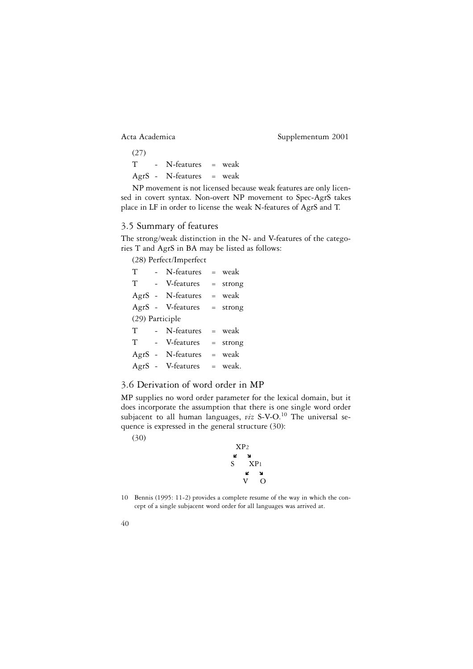(27) T - N-features = weak AgrS - N-features = weak

NP movement is not licensed because weak features are only licensed in covert syntax. Non-overt NP movement to Spec-AgrS takes place in LF in order to license the weak N-features of AgrS and T.

# 3.5 Summary of features

The strong/weak distinction in the N- and V-features of the categories T and AgrS in BA may be listed as follows:

(28) Perfect/Imperfect

| $\mathbf T$     |  | - N-features = weak |  |            |
|-----------------|--|---------------------|--|------------|
| T               |  | - V-features        |  | $=$ strong |
|                 |  | AgrS - N-features   |  | $=$ weak   |
|                 |  | AgrS - V-features   |  | $=$ strong |
| (29) Participle |  |                     |  |            |
|                 |  | T - N-features      |  | = weak     |
|                 |  | T - V-features      |  | $=$ strong |
|                 |  | AgrS - N-features   |  | $=$ weak   |
|                 |  | AgrS - V-features   |  | = weak.    |

# 3.6 Derivation of word order in MP

MP supplies no word order parameter for the lexical domain, but it does incorporate the assumption that there is one single word order subjacent to all human languages, *viz* S-V-O.<sup>10</sup> The universal sequence is expressed in the general structure (30):

(30)



10 Bennis (1995: 11-2) provides a complete resume of the way in which the concept of a single subjacent word order for all languages was arrived at.

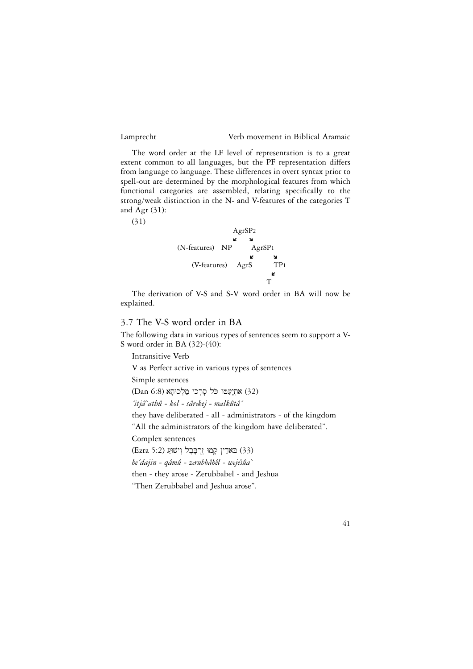The word order at the LF level of representation is to a great extent common to all languages, but the PF representation differs from language to language. These differences in overt syntax prior to spell-out are determined by the morphological features from which functional categories are assembled, relating specifically to the strong/weak distinction in the N- and V-features of the categories T and Agr  $(31)$ :

(31)



The derivation of V-S and S-V word order in BA will now be explained.

# 3.7 The V-S word order in BA

The following data in various types of sentences seem to support a V-S word order in BA (32)-(40):

Intransitive Verb V as Perfect active in various types of sentences Simple sentences (32) אתִיעַטוּ כֹּל סָרְכי מַלְכוּתָא (32) *´itjâ`athû - kol - sârekej - malkûtâ´* they have deliberated - all - administrators - of the kingdom "All the administrators of the kingdom have deliberated". Complex sentences (33) בארַין קָמוּ וֹרְבָּבֵל וְיֹשׁוַּע (33) *be´dajin - qâmû - zerubbâbêl - wejesûa`* ^then - they arose - Zerubbabel - and Jeshua "Then Zerubbabel and Jeshua arose".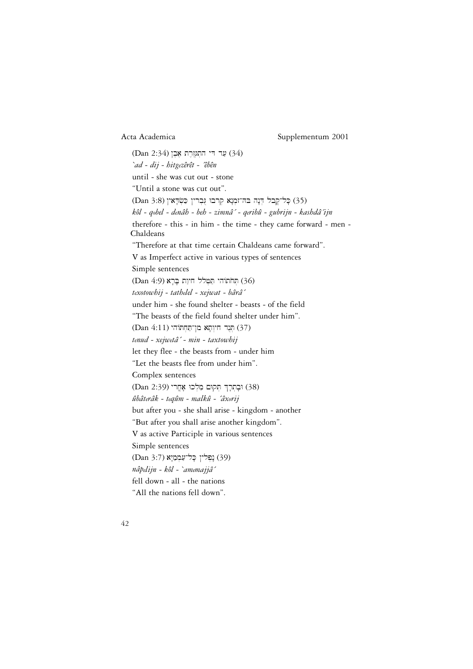(34) עַר די התנורת אָבֶן (34) *`ad - dij - hitgezêrêt - ´êbên* until - she was cut out - stone "Until a stone was cut out". (35) כְּל־קֶבל הְנָה בּה־זמְנָא קְרבוּ גִּבְרין כַּשְׂדָאין (3:8 Dan) *kôl - qobel - denâh - beh - zimnâ´ - qeribû - gubrijn - kashdâ´ijn* therefore - this - in him - the time - they came forward - men - Chaldeans "Therefore at that time certain Chaldeans came forward". V as Imperfect active in various types of sentences Simple sentences (36) הְחֹתוֹהי תַּטְלל חִיוַת בָּרָא (36) *texotowhij - tathelel - xejwat - bârâ´* under him - she found shelter - beasts - of the field "The beasts of the field found shelter under him". (37) תְּנֶד חִיוְתָא מַן־תַּחְתּוֹה' (37) *tenud - xejwetâ´ - min - taxtowhij* let they flee - the beasts from - under him "Let the beasts flee from under him". Complex sentences וּבָתְרַךְ תְּקוּם מַלְכוּ אָחֲר׳ (39) וּבָתְרָךְ  $(38)$ *ûbâterâk - teqûm - malkû - ´âxorij* but after you - she shall arise - kingdom - another "But after you shall arise another kingdom". V as active Participle in various sentences Simple sentences (39) נְפְלִין כָּל<sup>-</sup>עַמְמַיָּא (3:7)<br>נ *nâpelijn - kôl - `amemajjâ´* fell down - all - the nations "All the nations fell down".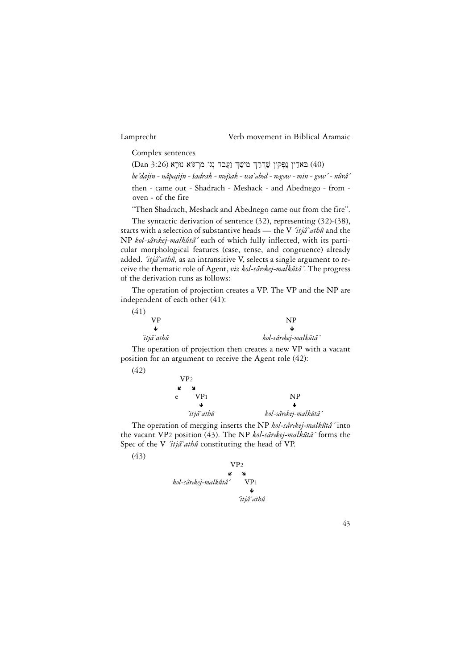Complex sentences

(40) הארין נפקין שַרְרַךְ מישַׁךְ וַעֲבֹד וְנוֹ מַן־גּוֹא נוּרָא (40)

*be´dajin - nâpeqijn - sadrak - mejsak - wa`abed - negow - min - gow´ - nûrâ´* ^ ^ <sup>|</sup>

then - came out - Shadrach - Meshack - and Abednego - from oven - of the fire

"Then Shadrach, Meshack and Abednego came out from the fire".

The syntactic derivation of sentence (32), representing (32)-(38), starts with a selection of substantive heads — the V *´itjâ`athû* and the NP *kol-sârekej-malkûtâ´* each of which fully inflected, with its particular morphological features (case, tense, and congruence) already added. *´itjâ`athû,* as an intransitive V, selects a single argument to receive the thematic role of Agent, *viz kol-sârekej-malkûtâ´*. The progress of the derivation runs as follows:

The operation of projection creates a VP. The VP and the NP are independent of each other (41):

| (41)       |                      |
|------------|----------------------|
| VP         | NP                   |
| w          | ۰Ŀ                   |
| 'itjâ`athû | kol-sârekej-malkûtâ´ |

The operation of projection then creates a new VP with a vacant position for an argument to receive the Agent role (42):

| VP <sub>2</sub> |                      |
|-----------------|----------------------|
| K<br>N          |                      |
| VP1<br>e        | <b>NP</b>            |
| ₩               | ◡                    |
| 'itjâ`athû      | kol-sârekej-malkûtâ´ |

The operation of merging inserts the NP *kol-sârekej-malkûtâ´* into the vacant VP2 position (43). The NP *kol-sârekej-malkûtâ´* forms the Spec of the V *´itjâ`athû* constituting the head of VP.



(42)

VP2 Ó Ô *kol-sârekej-malkûtâ´* VP1 Ð *´itjâ`athû*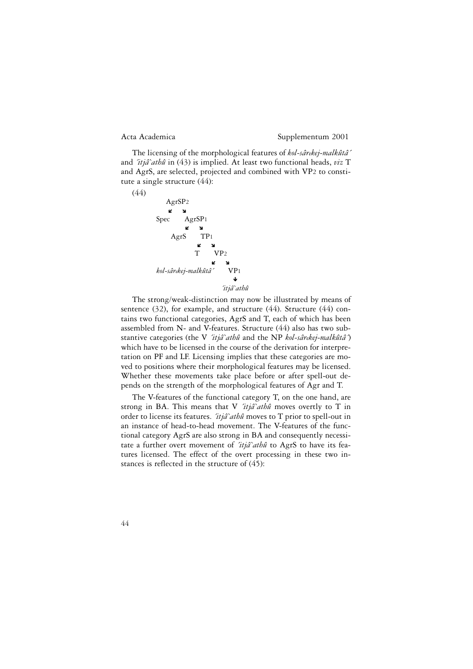The licensing of the morphological features of *kol-sârekej-malkûtâ´* and *´itjâ`athû* in (43) is implied. At least two functional heads, *viz* T and AgrS, are selected, projected and combined with VP2 to constitute a single structure (44):



The strong/weak-distinction may now be illustrated by means of sentence (32), for example, and structure (44). Structure (44) contains two functional categories, AgrS and T, each of which has been assembled from N- and V-features. Structure (44) also has two substantive categories (the V *´itjâ`athû* and the NP *kol-sârekej-malkûtâ´*) which have to be licensed in the course of the derivation for interpretation on PF and LF. Licensing implies that these categories are moved to positions where their morphological features may be licensed. Whether these movements take place before or after spell-out depends on the strength of the morphological features of Agr and T.

The V-features of the functional category T, on the one hand, are strong in BA. This means that V *´itjâ`athû* moves overtly to T in order to license its features. *´itjâ`athû* moves to T prior to spell-out in an instance of head-to-head movement. The V-features of the functional category AgrS are also strong in BA and consequently necessitate a further overt movement of *´itjâ`athû* to AgrS to have its features licensed. The effect of the overt processing in these two instances is reflected in the structure of (45):

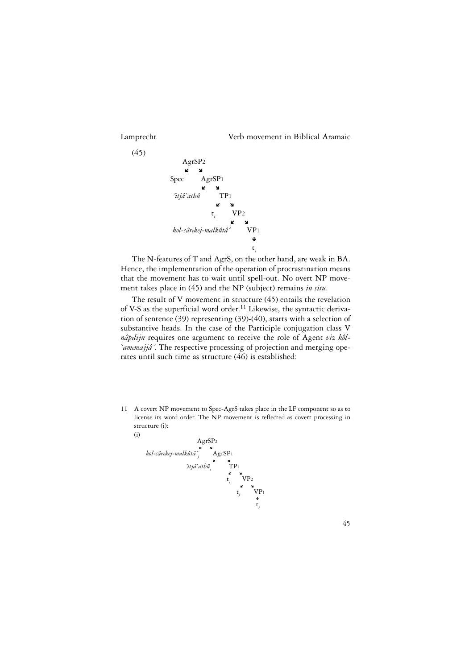(45)

Lamprecht Verb movement in Biblical Aramaic



The N-features of T and AgrS, on the other hand, are weak in BA. Hence, the implementation of the operation of procrastination means that the movement has to wait until spell-out. No overt NP movement takes place in (45) and the NP (subject) remains *in situ*.

The result of V movement in structure (45) entails the revelation of V-S as the superficial word order.<sup>11</sup> Likewise, the syntactic derivation of sentence (39) representing (39)-(40), starts with a selection of substantive heads. In the case of the Participle conjugation class V *nâpelijn* requires one argument to receive the role of Agent *viz kôl- `amemajjâ´*. The respective processing of projection and merging operates until such time as structure (46) is established:

11 A covert NP movement to Spec-AgrS takes place in the LF component so as to license its word order. The NP movement is reflected as covert processing in structure (i):

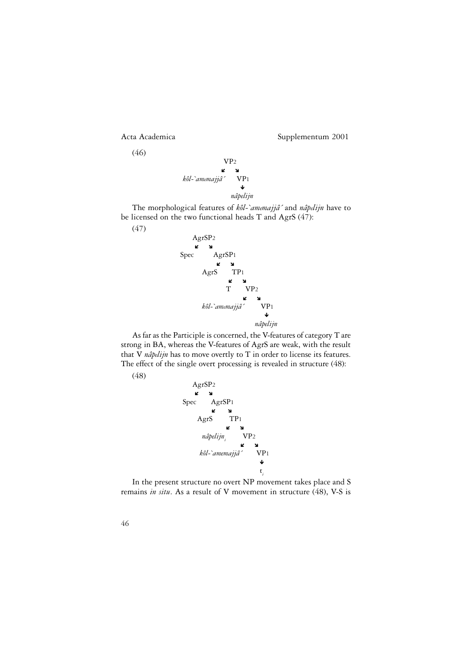

(47)



The morphological features of *kôl-`amemajjâ´* and *nâpelijn* have to be licensed on the two functional heads T and AgrS (47):



As far as the Participle is concerned, the V-features of category T are strong in BA, whereas the V-features of AgrS are weak, with the result that V *nâpelijn* has to move overtly to T in order to license its features. The effect of the single overt processing is revealed in structure (48):





In the present structure no overt NP movement takes place and S remains *in situ*. As a result of V movement in structure (48), V-S is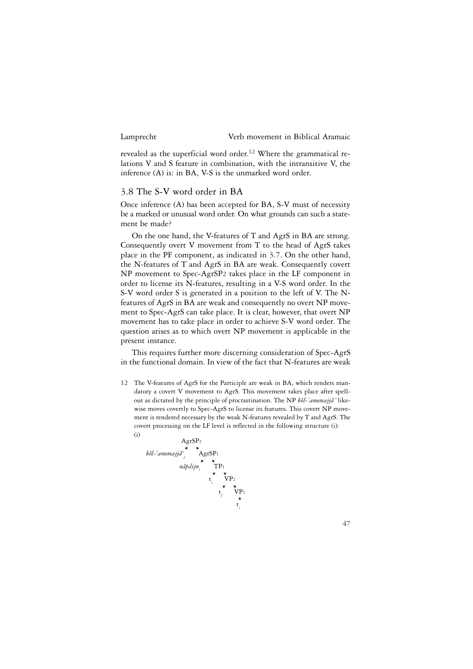revealed as the superficial word order.<sup>12</sup> Where the grammatical relations V and S feature in combination, with the intransitive V, the inference (A) is: in BA, V-S is the unmarked word order.

## 3.8 The S-V word order in BA

Once inference (A) has been accepted for BA, S-V must of necessity be a marked or unusual word order. On what grounds can such a statement be made?

On the one hand, the V-features of T and AgrS in BA are strong. Consequently overt V movement from T to the head of AgrS takes place in the PF component, as indicated in 3.7. On the other hand, the N-features of T and AgrS in BA are weak. Consequently covert NP movement to Spec-AgrSP2 takes place in the LF component in order to license its N-features, resulting in a V-S word order. In the S-V word order S is generated in a position to the left of V. The Nfeatures of AgrS in BA are weak and consequently no overt NP movement to Spec-AgrS can take place. It is clear, however, that overt NP movement has to take place in order to achieve S-V word order. The question arises as to which overt NP movement is applicable in the present instance.

This requires further more discerning consideration of Spec-AgrS in the functional domain. In view of the fact that N-features are weak

12 The V-features of AgrS for the Participle are weak in BA, which renders mandatory a covert V movement to AgrS. This movement takes place after spellout as dictated by the principle of procrastination. The NP *kôl-`amemajjâ´* likewise moves covertly to Spec-AgrS to license its features. This covert NP movement is rendered necessary by the weak N-features revealed by T and AgrS. The covert processing on the LF level is reflected in the following structure (i):

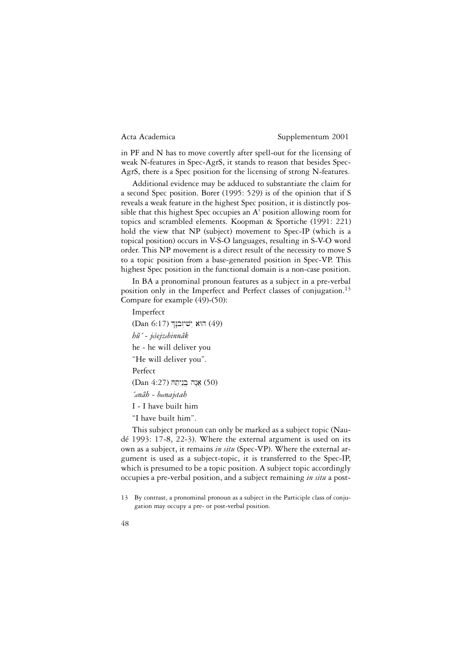in PF and N has to move covertly after spell-out for the licensing of weak N-features in Spec-AgrS, it stands to reason that besides Spec-AgrS, there is a Spec position for the licensing of strong N-features.

Additional evidence may be adduced to substantiate the claim for a second Spec position. Borer (1995: 529) is of the opinion that if S reveals a weak feature in the highest Spec position, it is distinctly possible that this highest Spec occupies an A' position allowing room for topics and scrambled elements. Koopman & Sportiche (1991: 221) hold the view that NP (subject) movement to Spec-IP (which is a topical position) occurs in V-S-O languages, resulting in S-V-O word order. This NP movement is a direct result of the necessity to move S to a topic position from a base-generated position in Spec-VP. This highest Spec position in the functional domain is a non-case position.

In BA a pronominal pronoun features as a subject in a pre-verbal position only in the Imperfect and Perfect classes of conjugation.<sup>13</sup> Compare for example (49)-(50):

Imperfect

(Dan 6:17) הוא יִשׁיזְבנְךְ (49) *hû´ - jesejzebinnâk* ^he - he will deliver you "He will deliver you". Perfect  $(Dan 4:27)$  אֲנָה בֵנֵיְתַה *´anâh - beenajetah* I - I have built him "I have built him".

This subject pronoun can only be marked as a subject topic (Naudé 1993: 17-8, 22-3). Where the external argument is used on its own as a subject, it remains *in situ* (Spec-VP). Where the external argument is used as a subject-topic, it is transferred to the Spec-IP, which is presumed to be a topic position. A subject topic accordingly occupies a pre-verbal position, and a subject remaining *in situ* a post-

<sup>13</sup> By contrast, a pronominal pronoun as a subject in the Participle class of conjugation may occupy a pre- or post-verbal position.

<sup>48</sup>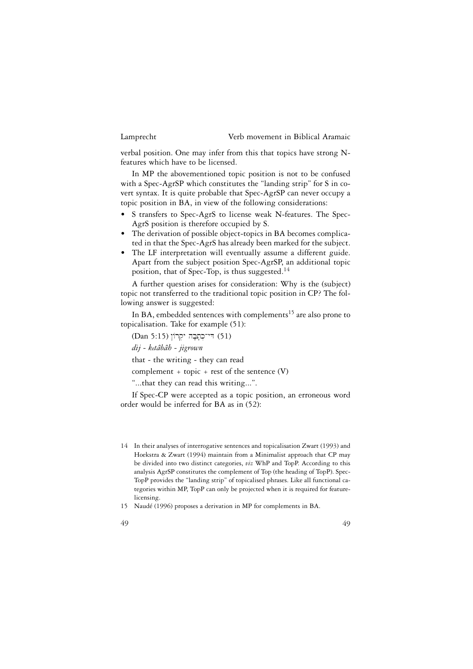verbal position. One may infer from this that topics have strong Nfeatures which have to be licensed.

In MP the abovementioned topic position is not to be confused with a Spec-AgrSP which constitutes the "landing strip" for S in covert syntax. It is quite probable that Spec-AgrSP can never occupy a topic position in BA, in view of the following considerations:

- S transfers to Spec-AgrS to license weak N-features. The Spec-AgrS position is therefore occupied by S.
- The derivation of possible object-topics in BA becomes complicated in that the Spec-AgrS has already been marked for the subject.
- The LF interpretation will eventually assume a different guide. Apart from the subject position Spec-AgrSP, an additional topic position, that of Spec-Top, is thus suggested.<sup>14</sup>

A further question arises for consideration: Why is the (subject) topic not transferred to the traditional topic position in CP? The following answer is suggested:

In BA, embedded sentences with complements<sup>15</sup> are also prone to topicalisation. Take for example (51):

 $(Dan 5:15)$  די־כְתָבָה יִקְרוֹן (51)

*dij - ketâbâh - jigrown*

that - the writing - they can read

complement + topic + rest of the sentence (V)

"...that they can read this writing...".

If Spec-CP were accepted as a topic position, an erroneous word order would be inferred for BA as in (52):

<sup>14</sup> In their analyses of interrogative sentences and topicalisation Zwart (1993) and Hoekstra & Zwart (1994) maintain from a Minimalist approach that CP may be divided into two distinct categories, *viz* WhP and TopP. According to this analysis AgrSP constitutes the complement of Top (the heading of TopP). Spec-TopP provides the "landing strip" of topicalised phrases. Like all functional categories within MP, TopP can only be projected when it is required for featurelicensing.

<sup>15</sup> Naudé (1996) proposes a derivation in MP for complements in BA.

<sup>49</sup>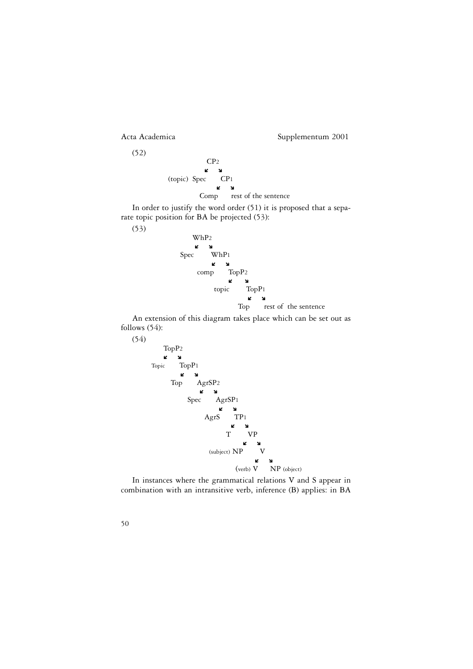CP2  $\mathbf{z}$ (topic) Spec CP1 Ó Ô Comp rest of the sentence

In order to justify the word order (51) it is proposed that a separate topic position for BA be projected (53):



An extension of this diagram takes place which can be set out as follows (54):



In instances where the grammatical relations V and S appear in combination with an intransitive verb, inference (B) applies: in BA

50

(52)

(53)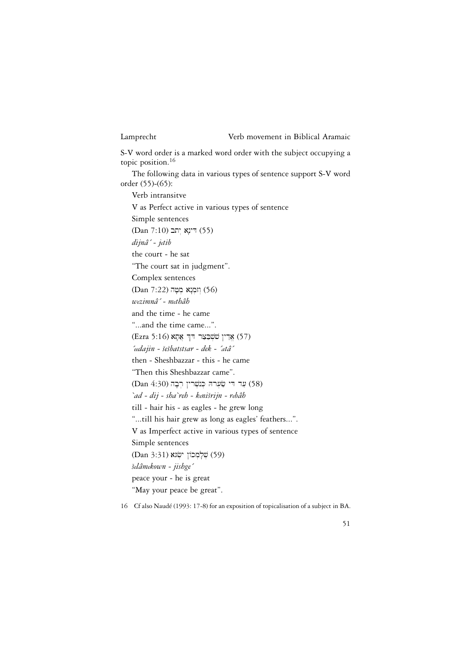S-V word order is a marked word order with the subject occupying a topic position.<sup>16</sup>

The following data in various types of sentence support S-V word order (55)-(65):

Verb intransitve V as Perfect active in various types of sentence Simple sentences (Dan 7:10) דינא יתב *dijnâ´ - jetib* the court - he sat "The court sat in judgment". Complex sentences  $(Dan 7:22)$  וזמנא מטה *wezimnâ´ - methâh* and the time - he came "...and the time came...". (57) אַרַין שׁשְׁבַצַר דּךְ אֲתָא (57) *´eedajin - sesbatstsar - dek - ´atâ´* ^^ then - Sheshbazzar - this - he came "Then this Sheshbazzar came". (58) עַר די שַׂעִרהּ כְּנִשְׁרין רִבָה (58) (68 *`ad - dij - sha`reh - kenisrijn - rebâh* ^ till - hair his - as eagles - he grew long "...till his hair grew as long as eagles' feathers...". V as Imperfect active in various types of sentence Simple sentences (59) שֶׁלָמְכוֹן יִשְׂגא (59) *selâmekown - jishge´* ^peace your - he is great "May your peace be great".

16 Cf also Naudé (1993: 17-8) for an exposition of topicalisation of a subject in BA.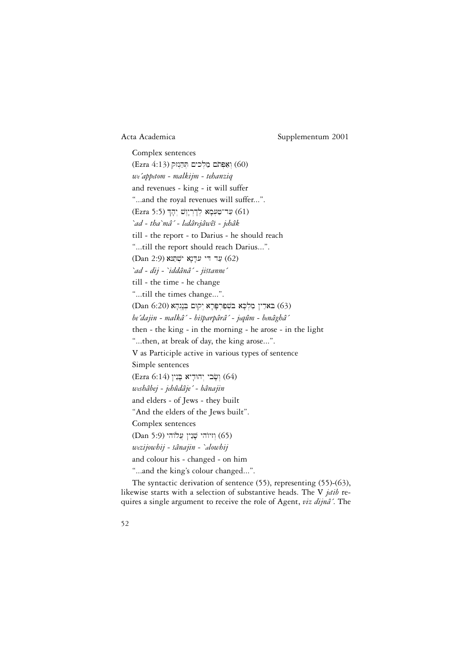Complex sentences (Ezra  $4:13$ ) וְאֵפְּתֹם מַלְכִים תְּהַנְזַק *we´appetom - malkijm - tehanziq* and revenues - king - it will suffer "...and the royal revenues will suffer...". (61) עַר־טַּעְמָא לְדְרְיְוֶשׁ יְהָךְ (61) (£1 *`ad - tha`mâ´ - ledârejâwês - jehâk* ^ till - the report - to Darius - he should reach "...till the report should reach Darius...". (Dan 2:9) עַר די עדָנָא ישִׁתַּוּא (62) *`ad - dij - `iddânâ´ - jistanne´* ^ till - the time - he change "...till the times change...". (63) האַרַין מַלְכָא בּשִׁפַּרִפָּרָא יִקוּם בְּנֶגְהָא (63) (63 *be´dajin - malkâ´ - bisparpârâ´ - jeqûm - benâghâ´* ^ then - the king - in the morning - he arose - in the light "...then, at break of day, the king arose...". V as Participle active in various types of sentence Simple sentences (Ezra 6:14) וְשָׂבִי יְהוּדִיא בָּנֵין (64) *weshâbej - jehûdâje´ - bânajin* and elders - of Jews - they built "And the elders of the Jews built". Complex sentences (Dan 5:9) וויוֹהי שָׁנֵין (65) *wezijowhij - sânajin - `alowhij* ^and colour his - changed - on him "...and the king's colour changed...".

The syntactic derivation of sentence (55), representing (55)-(63), likewise starts with a selection of substantive heads. The V *jetib* requires a single argument to receive the role of Agent, *viz dijnâ´*. The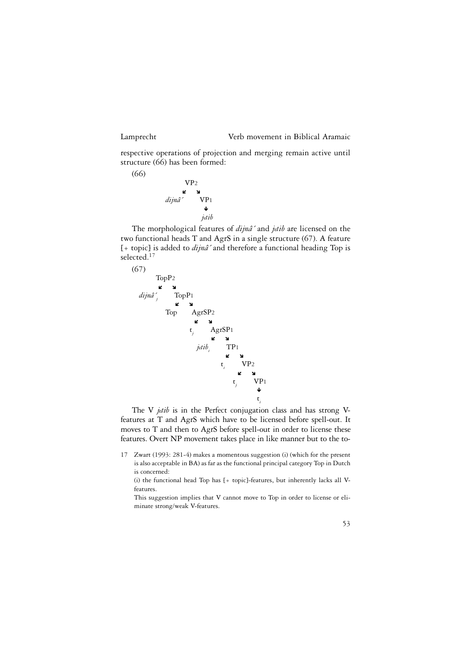(66)

#### Lamprecht Verb movement in Biblical Aramaic

respective operations of projection and merging remain active until structure (66) has been formed:

> VP2 Ó Ô *dijnâ´* VP1 Ð *jetib*

The morphological features of *dijnâ´* and *jetib* are licensed on the two functional heads T and AgrS in a single structure (67). A feature [+ topic] is added to *dijnâ´* and therefore a functional heading Top is selected.<sup>17</sup>



The V *jetib* is in the Perfect conjugation class and has strong Vfeatures at T and AgrS which have to be licensed before spell-out. It moves to T and then to AgrS before spell-out in order to license these features. Overt NP movement takes place in like manner but to the to-

17 Zwart (1993: 281-4) makes a momentous suggestion (i) (which for the present is also acceptable in BA) as far as the functional principal category Top in Dutch is concerned:

(i) the functional head Top has [+ topic]-features, but inherently lacks all Vfeatures.

This suggestion implies that V cannot move to Top in order to license or eliminate strong/weak V-features.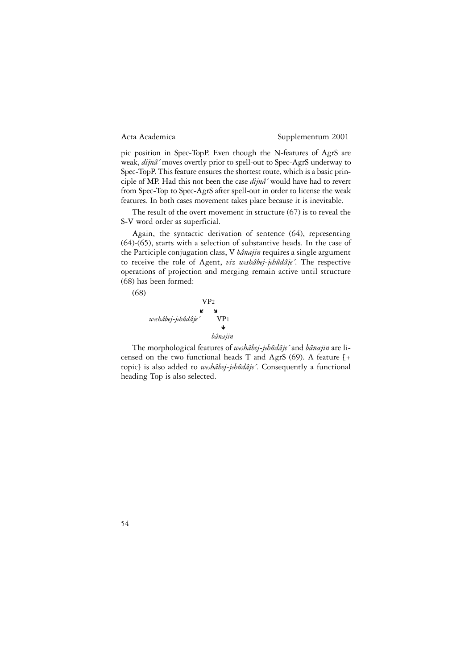pic position in Spec-TopP. Even though the N-features of AgrS are weak, *dijnâ´* moves overtly prior to spell-out to Spec-AgrS underway to Spec-TopP. This feature ensures the shortest route, which is a basic principle of MP. Had this not been the case *dijnâ´* would have had to revert from Spec-Top to Spec-AgrS after spell-out in order to license the weak features. In both cases movement takes place because it is inevitable.

The result of the overt movement in structure (67) is to reveal the S-V word order as superficial.

Again, the syntactic derivation of sentence (64), representing (64)-(65), starts with a selection of substantive heads. In the case of the Participle conjugation class, V *bânajin* requires a single argument to receive the role of Agent, *viz weshâbej-jehûdâje´*. The respective operations of projection and merging remain active until structure (68) has been formed:

(68)



The morphological features of *weshâbej-jehûdâje´* and *bânajin* are licensed on the two functional heads T and AgrS (69). A feature [+ topic] is also added to *weshâbej-jehûdâje´*. Consequently a functional heading Top is also selected.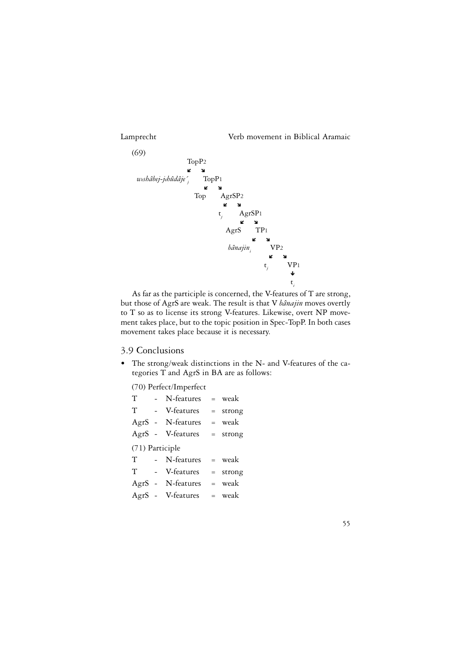55



As far as the participle is concerned, the V-features of T are strong, but those of AgrS are weak. The result is that V *bânajin* moves overtly to T so as to license its strong V-features. Likewise, overt NP movement takes place, but to the topic position in Spec-TopP. In both cases movement takes place because it is necessary.

# 3.9 Conclusions

• The strong/weak distinctions in the N- and V-features of the categories T and AgrS in BA are as follows:

(70) Perfect/Imperfect

| T                      |  | N-features        |  | $=$ weak   |  |
|------------------------|--|-------------------|--|------------|--|
| <b>Contractor</b><br>T |  | V-features        |  | $=$ strong |  |
|                        |  | AgrS - N-features |  | = weak     |  |
|                        |  | AgrS - V-features |  | $=$ strong |  |
| (71) Participle        |  |                   |  |            |  |
|                        |  | T - N-features    |  | = weak     |  |
| T                      |  | - V-features      |  | $=$ strong |  |
|                        |  | AgrS - N-features |  | = weak     |  |
|                        |  | AgrS - V-features |  | $=$ weak   |  |
|                        |  |                   |  |            |  |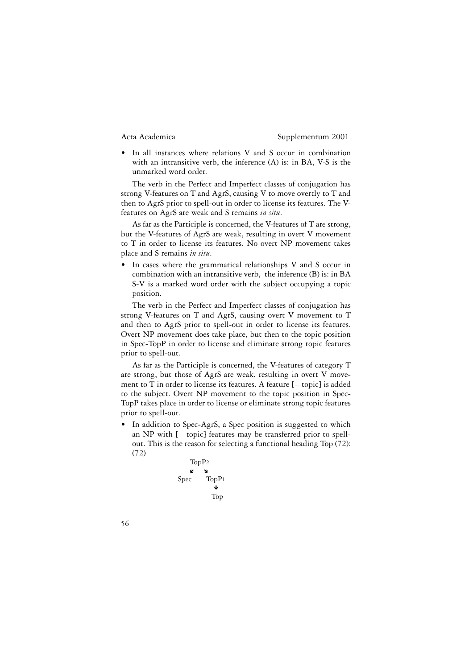• In all instances where relations V and S occur in combination with an intransitive verb, the inference (A) is: in BA, V-S is the unmarked word order.

The verb in the Perfect and Imperfect classes of conjugation has strong V-features on T and AgrS, causing V to move overtly to T and then to AgrS prior to spell-out in order to license its features. The Vfeatures on AgrS are weak and S remains *in situ*.

As far as the Participle is concerned, the V-features of T are strong, but the V-features of AgrS are weak, resulting in overt V movement to T in order to license its features. No overt NP movement takes place and S remains *in situ*.

• In cases where the grammatical relationships V and S occur in combination with an intransitive verb, the inference (B) is: in BA S-V is a marked word order with the subject occupying a topic position.

The verb in the Perfect and Imperfect classes of conjugation has strong V-features on T and AgrS, causing overt V movement to T and then to AgrS prior to spell-out in order to license its features. Overt NP movement does take place, but then to the topic position in Spec-TopP in order to license and eliminate strong topic features prior to spell-out.

As far as the Participle is concerned, the V-features of category T are strong, but those of AgrS are weak, resulting in overt V movement to T in order to license its features. A feature [+ topic] is added to the subject. Overt NP movement to the topic position in Spec-TopP takes place in order to license or eliminate strong topic features prior to spell-out.

• In addition to Spec-AgrS, a Spec position is suggested to which an NP with [+ topic] features may be transferred prior to spellout. This is the reason for selecting a functional heading Top (72): (72)

$$
\begin{matrix}\n\text{TopP2} \\
\text{L} & \text{S} \\
\text{Spec} & \text{TopP1} \\
\text{Top} \\
\text{Top}\n\end{matrix}
$$